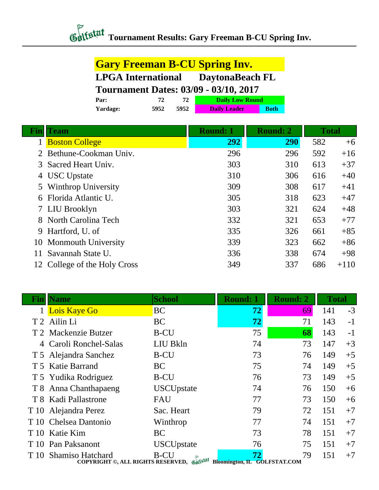## *Contextal* Tournament Results: Gary Freeman B-CU Spring Inv.

| <b>Gary Freeman B-CU Spring Inv.</b>         |      |      |                        |             |  |
|----------------------------------------------|------|------|------------------------|-------------|--|
| <b>LPGA</b> International DaytonaBeach FL    |      |      |                        |             |  |
| <b>Tournament Dates: 03/09 - 03/10, 2017</b> |      |      |                        |             |  |
| Par:                                         | 72   | 72   | <b>Daily Low Round</b> |             |  |
| <b>Yardage:</b>                              | 5952 | 5952 | <b>Daily Leader</b>    | <b>Both</b> |  |

|   | Team                       | <b>Round: 1</b> | <b>Round: 2</b> | <b>Total</b> |        |
|---|----------------------------|-----------------|-----------------|--------------|--------|
|   | <b>Boston College</b>      | 292             | 290             | 582          | $+6$   |
|   | Bethune-Cookman Univ.      | 296             | 296             | 592          | $+16$  |
| 3 | Sacred Heart Univ.         | 303             | 310             | 613          | $+37$  |
| 4 | <b>USC</b> Upstate         | 310             | 306             | 616          | $+40$  |
| 5 | <b>Winthrop University</b> | 309             | 308             | 617          | $+41$  |
| 6 | Florida Atlantic U.        | 305             | 318             | 623          | $+47$  |
|   | 7 LIU Brooklyn             | 303             | 321             | 624          | $+48$  |
|   | 8 North Carolina Tech      | 332             | 321             | 653          | $+77$  |
| 9 | Hartford, U. of            | 335             | 326             | 661          | $+85$  |
|   | 10 Monmouth University     | 339             | 323             | 662          | $+86$  |
|   | Savannah State U.          | 336             | 338             | 674          | $+98$  |
|   | College of the Holy Cross  | 349             | 337             | 686          | $+110$ |

| Finl | <b>Name</b>                                                           | <b>School</b>     | <b>Round:</b> 1                    | <b>Round: 2</b> | <b>Total</b> |      |
|------|-----------------------------------------------------------------------|-------------------|------------------------------------|-----------------|--------------|------|
|      | 1 Lois Kaye Go                                                        | <b>BC</b>         | 72                                 | <b>69</b>       | 141          | $-3$ |
|      | T 2 Ailin Li                                                          | <b>BC</b>         | 72                                 | 71              | 143          | $-1$ |
|      | T 2 Mackenzie Butzer                                                  | <b>B-CU</b>       | 75                                 | 68              | 143          | $-1$ |
|      | 4 Caroli Ronchel-Salas                                                | LIU Bkln          | 74                                 | 73              | 147          | $+3$ |
|      | T 5 Alejandra Sanchez                                                 | <b>B-CU</b>       | 73                                 | 76              | 149          | $+5$ |
|      | T 5 Katie Barrand                                                     | <b>BC</b>         | 75                                 | 74              | 149          | $+5$ |
|      | T 5 Yudika Rodriguez                                                  | <b>B-CU</b>       | 76                                 | 73              | 149          | $+5$ |
|      | T 8 Anna Chanthapaeng                                                 | <b>USCUpstate</b> | 74                                 | 76              | 150          | $+6$ |
|      | T 8 Kadi Pallastrone                                                  | FAU               | 77                                 | 73              | 150          | $+6$ |
|      | T 10 Alejandra Perez                                                  | Sac. Heart        | 79                                 | 72              | 151          | $+7$ |
|      | T 10 Chelsea Dantonio                                                 | Winthrop          | 77                                 | 74              | 151          | $+7$ |
|      | T 10 Katie Kim                                                        | <b>BC</b>         | 73                                 | 78              | 151          | $+7$ |
|      | T 10 Pan Paksanont                                                    | <b>USCUpstate</b> | 76                                 | 75              | 151          | $+7$ |
| T 10 | <b>Shamiso Hatchard</b><br>COPYRIGHT ©, ALL RIGHTS RESERVED, Gulfstat | B-CU              | 72<br>Bloomington, IL GOLFSTAT.COM | 79              | 151          | $+7$ |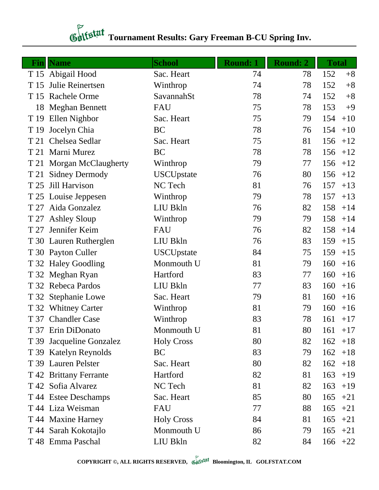## **Tournament Results: Gary Freeman B-CU Spring Inv.**

| $\mathbf{Fin}$ | <b>Name</b>              | <b>School</b>     | <b>Round: 1</b> | <b>Round: 2</b> | <b>Total</b> |
|----------------|--------------------------|-------------------|-----------------|-----------------|--------------|
|                | T 15 Abigail Hood        | Sac. Heart        | 74              | 78              | 152<br>$+8$  |
| T 15           | Julie Reinertsen         | Winthrop          | 74              | 78              | 152<br>$+8$  |
|                | T 15 Rachele Orme        | SavannahSt        | 78              | 74              | 152<br>$+8$  |
| 18             | <b>Meghan Bennett</b>    | FAU               | 75              | 78              | 153<br>$+9$  |
|                | T 19 Ellen Nighbor       | Sac. Heart        | 75              | 79              | 154<br>$+10$ |
| T 19           | Jocelyn Chia             | BC                | 78              | 76              | 154<br>$+10$ |
| T 21           | Chelsea Sedlar           | Sac. Heart        | 75              | 81              | 156<br>$+12$ |
| T 21           | Marni Murez              | BC                | 78              | 78              | 156<br>$+12$ |
|                | T 21 Morgan McClaugherty | Winthrop          | 79              | 77              | 156<br>$+12$ |
| T 21           | <b>Sidney Dermody</b>    | <b>USCUpstate</b> | 76              | 80              | 156<br>$+12$ |
| T 25           | Jill Harvison            | NC Tech           | 81              | 76              | 157<br>$+13$ |
|                | T 25 Louise Jeppesen     | Winthrop          | 79              | 78              | 157<br>$+13$ |
|                | T 27 Aida Gonzalez       | LIU Bkln          | 76              | 82              | 158<br>$+14$ |
| T 27           | <b>Ashley Sloup</b>      | Winthrop          | 79              | 79              | 158<br>$+14$ |
|                | T 27 Jennifer Keim       | FAU               | 76              | 82              | 158<br>$+14$ |
|                | T 30 Lauren Rutherglen   | LIU Bkln          | 76              | 83              | 159<br>$+15$ |
|                | T 30 Payton Culler       | <b>USCUpstate</b> | 84              | 75              | 159<br>$+15$ |
|                | T 32 Haley Goodling      | Monmouth U        | 81              | 79              | 160<br>$+16$ |
|                | T 32 Meghan Ryan         | Hartford          | 83              | 77              | 160<br>$+16$ |
|                | T 32 Rebeca Pardos       | LIU Bkln          | 77              | 83              | 160<br>$+16$ |
|                | T 32 Stephanie Lowe      | Sac. Heart        | 79              | 81              | 160<br>$+16$ |
|                | T 32 Whitney Carter      | Winthrop          | 81              | 79              | 160<br>$+16$ |
|                | T 37 Chandler Case       | Winthrop          | 83              | 78              | 161<br>$+17$ |
|                | T 37 Erin DiDonato       | Monmouth U        | 81              | 80              | $161 + 17$   |
|                | T 39 Jacqueline Gonzalez | <b>Holy Cross</b> | 80              | 82              | 162<br>$+18$ |
|                | T 39 Katelyn Reynolds    | BC                | 83              | 79              | 162<br>$+18$ |
|                | T 39 Lauren Pelster      | Sac. Heart        | 80              | 82              | 162<br>$+18$ |
|                | T 42 Brittany Ferrante   | Hartford          | 82              | 81              | 163<br>$+19$ |
|                | T 42 Sofia Alvarez       | NC Tech           | 81              | 82              | 163<br>$+19$ |
|                | T 44 Estee Deschamps     | Sac. Heart        | 85              | 80              | 165<br>$+21$ |
|                | T 44 Liza Weisman        | <b>FAU</b>        | 77              | 88              | 165<br>$+21$ |
|                | T 44 Maxine Harney       | <b>Holy Cross</b> | 84              | 81              | 165<br>$+21$ |
|                | T 44 Sarah Kokotajlo     | Monmouth U        | 86              | 79              | 165<br>$+21$ |
|                | T 48 Emma Paschal        | LIU Bkln          | 82              | 84              | 166<br>$+22$ |